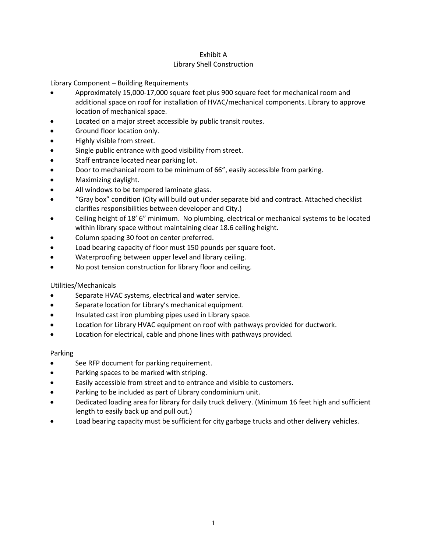## Exhibit A Library Shell Construction

Library Component – Building Requirements

- Approximately 15,000-17,000 square feet plus 900 square feet for mechanical room and additional space on roof for installation of HVAC/mechanical components. Library to approve location of mechanical space.
- Located on a major street accessible by public transit routes.
- Ground floor location only.
- Highly visible from street.
- Single public entrance with good visibility from street.
- Staff entrance located near parking lot.
- Door to mechanical room to be minimum of 66", easily accessible from parking.
- Maximizing daylight.
- All windows to be tempered laminate glass.
- "Gray box" condition (City will build out under separate bid and contract. Attached checklist clarifies responsibilities between developer and City.)
- Ceiling height of 18' 6" minimum. No plumbing, electrical or mechanical systems to be located within library space without maintaining clear 18.6 ceiling height.
- Column spacing 30 foot on center preferred.
- Load bearing capacity of floor must 150 pounds per square foot.
- Waterproofing between upper level and library ceiling.
- No post tension construction for library floor and ceiling.

## Utilities/Mechanicals

- Separate HVAC systems, electrical and water service.
- Separate location for Library's mechanical equipment.
- Insulated cast iron plumbing pipes used in Library space.
- Location for Library HVAC equipment on roof with pathways provided for ductwork.
- Location for electrical, cable and phone lines with pathways provided.

## Parking

- See RFP document for parking requirement.
- Parking spaces to be marked with striping.
- Easily accessible from street and to entrance and visible to customers.
- Parking to be included as part of Library condominium unit.
- Dedicated loading area for library for daily truck delivery. (Minimum 16 feet high and sufficient length to easily back up and pull out.)
- Load bearing capacity must be sufficient for city garbage trucks and other delivery vehicles.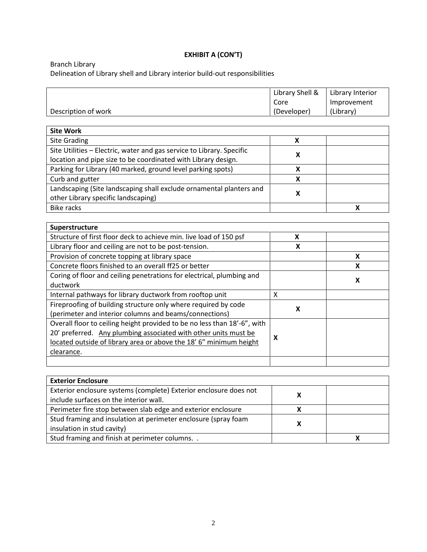## **EXHIBIT A (CON'T)**

Branch Library

Delineation of Library shell and Library interior build-out responsibilities

|                                                                          | Library Shell &           | Library Interior |
|--------------------------------------------------------------------------|---------------------------|------------------|
|                                                                          | Core                      | Improvement      |
| Description of work                                                      | (Developer)               | (Library)        |
|                                                                          |                           |                  |
| <b>Site Work</b>                                                         |                           |                  |
| <b>Site Grading</b>                                                      | X                         |                  |
| Site Utilities - Electric, water and gas service to Library. Specific    | X                         |                  |
| location and pipe size to be coordinated with Library design.            |                           |                  |
| Parking for Library (40 marked, ground level parking spots)              | X                         |                  |
| Curb and gutter                                                          | X                         |                  |
| Landscaping (Site landscaping shall exclude ornamental planters and      | X                         |                  |
| other Library specific landscaping)                                      |                           |                  |
| <b>Bike racks</b>                                                        |                           | X                |
|                                                                          |                           |                  |
| Superstructure                                                           |                           |                  |
| Structure of first floor deck to achieve min. live load of 150 psf       | X                         |                  |
| Library floor and ceiling are not to be post-tension.                    | $\boldsymbol{\mathsf{x}}$ |                  |
| Provision of concrete topping at library space                           |                           | X                |
| Concrete floors finished to an overall ff25 or better                    |                           | X                |
| Coring of floor and ceiling penetrations for electrical, plumbing and    |                           | X                |
| ductwork                                                                 |                           |                  |
| Internal pathways for library ductwork from rooftop unit                 | $\mathsf{X}$              |                  |
| Fireproofing of building structure only where required by code           | $\boldsymbol{\mathsf{x}}$ |                  |
| (perimeter and interior columns and beams/connections)                   |                           |                  |
| Overall floor to ceiling height provided to be no less than 18'-6", with |                           |                  |
| 20' preferred. Any plumbing associated with other units must be          | X                         |                  |
| located outside of library area or above the 18' 6" minimum height       |                           |                  |
| clearance.                                                               |                           |                  |
|                                                                          |                           |                  |
|                                                                          |                           |                  |
| <b>Exterior Enclosure</b>                                                |                           |                  |

| <b>Exterior Enclosure</b>                                         |  |  |
|-------------------------------------------------------------------|--|--|
| Exterior enclosure systems (complete) Exterior enclosure does not |  |  |
| include surfaces on the interior wall.                            |  |  |
| Perimeter fire stop between slab edge and exterior enclosure      |  |  |
| Stud framing and insulation at perimeter enclosure (spray foam    |  |  |
| insulation in stud cavity)                                        |  |  |
| Stud framing and finish at perimeter columns. .                   |  |  |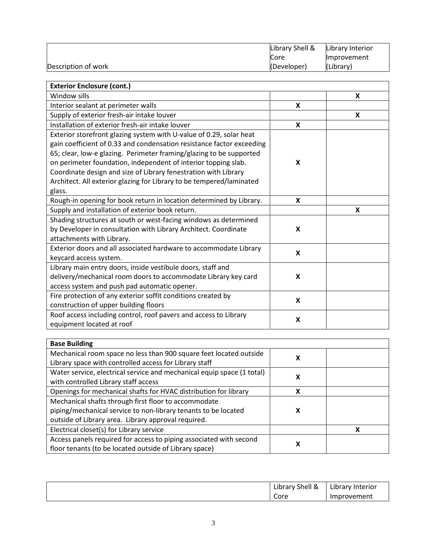|                     | Library Shell & | Library Interior   |
|---------------------|-----------------|--------------------|
|                     | Core            | <b>Improvement</b> |
| Description of work | (Developer)     | (Library)          |

| <b>Exterior Enclosure (cont.)</b>                                     |                           |   |
|-----------------------------------------------------------------------|---------------------------|---|
| Window sills                                                          |                           | X |
| Interior sealant at perimeter walls                                   | $\boldsymbol{\mathsf{x}}$ |   |
| Supply of exterior fresh-air intake louver                            |                           | X |
| Installation of exterior fresh-air intake louver                      | $\boldsymbol{\mathsf{x}}$ |   |
| Exterior storefront glazing system with U-value of 0.29, solar heat   |                           |   |
| gain coefficient of 0.33 and condensation resistance factor exceeding |                           |   |
| 65; clear, low-e glazing. Perimeter framing/glazing to be supported   |                           |   |
| on perimeter foundation, independent of interior topping slab.        | X                         |   |
| Coordinate design and size of Library fenestration with Library       |                           |   |
| Architect. All exterior glazing for Library to be tempered/laminated  |                           |   |
| glass.                                                                |                           |   |
| Rough-in opening for book return in location determined by Library.   | X                         |   |
| Supply and installation of exterior book return.                      |                           | X |
| Shading structures at south or west-facing windows as determined      |                           |   |
| by Developer in consultation with Library Architect. Coordinate       | X                         |   |
| attachments with Library.                                             |                           |   |
| Exterior doors and all associated hardware to accommodate Library     | $\boldsymbol{\mathsf{x}}$ |   |
| keycard access system.                                                |                           |   |
| Library main entry doors, inside vestibule doors, staff and           |                           |   |
| delivery/mechanical room doors to accommodate Library key card        | X                         |   |
| access system and push pad automatic opener.                          |                           |   |
| Fire protection of any exterior soffit conditions created by          | X                         |   |
| construction of upper building floors                                 |                           |   |
| Roof access including control, roof pavers and access to Library      | X                         |   |
| equipment located at roof                                             |                           |   |

| <b>Base Building</b>                                                   |   |  |
|------------------------------------------------------------------------|---|--|
| Mechanical room space no less than 900 square feet located outside     |   |  |
| Library space with controlled access for Library staff                 |   |  |
| Water service, electrical service and mechanical equip space (1 total) | х |  |
| with controlled Library staff access                                   |   |  |
| Openings for mechanical shafts for HVAC distribution for library       | χ |  |
| Mechanical shafts through first floor to accommodate                   |   |  |
| piping/mechanical service to non-library tenants to be located         | X |  |
| outside of Library area. Library approval required.                    |   |  |
| Electrical closet(s) for Library service                               |   |  |
| Access panels required for access to piping associated with second     |   |  |
| floor tenants (to be located outside of Library space)                 | х |  |

| . .<br>$\cdot$ .<br>- -<br>Library Shell & | $\cdot$ .<br>Interior<br>Library |
|--------------------------------------------|----------------------------------|
| Core                                       | Improvement                      |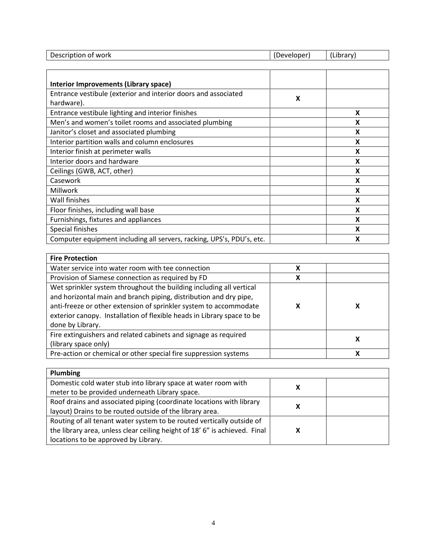| Description<br>of work | -<br>:veloper<br>. – ~ | .<br>.<br>LLINI AI |
|------------------------|------------------------|--------------------|
|                        |                        |                    |
|                        |                        |                    |

| <b>Interior Improvements (Library space)</b>                                 |   |   |
|------------------------------------------------------------------------------|---|---|
| Entrance vestibule (exterior and interior doors and associated<br>hardware). | X |   |
| Entrance vestibule lighting and interior finishes                            |   | X |
| Men's and women's toilet rooms and associated plumbing                       |   | X |
| Janitor's closet and associated plumbing                                     |   | X |
| Interior partition walls and column enclosures                               |   | x |
| Interior finish at perimeter walls                                           |   | X |
| Interior doors and hardware                                                  |   | X |
| Ceilings (GWB, ACT, other)                                                   |   | X |
| Casework                                                                     |   | X |
| Millwork                                                                     |   | x |
| Wall finishes                                                                |   | X |
| Floor finishes, including wall base                                          |   | X |
| Furnishings, fixtures and appliances                                         |   | X |
| Special finishes                                                             |   | x |
| Computer equipment including all servers, racking, UPS's, PDU's, etc.        |   | x |

| <b>Fire Protection</b>                                                                                                                                                                                                                                                                                      |   |   |
|-------------------------------------------------------------------------------------------------------------------------------------------------------------------------------------------------------------------------------------------------------------------------------------------------------------|---|---|
| Water service into water room with tee connection                                                                                                                                                                                                                                                           | χ |   |
| Provision of Siamese connection as required by FD                                                                                                                                                                                                                                                           | х |   |
| Wet sprinkler system throughout the building including all vertical<br>and horizontal main and branch piping, distribution and dry pipe,<br>anti-freeze or other extension of sprinkler system to accommodate<br>exterior canopy. Installation of flexible heads in Library space to be<br>done by Library. | х |   |
| Fire extinguishers and related cabinets and signage as required<br>(library space only)                                                                                                                                                                                                                     |   | x |
| Pre-action or chemical or other special fire suppression systems                                                                                                                                                                                                                                            |   | x |

| <b>Plumbing</b>                                                            |  |
|----------------------------------------------------------------------------|--|
| Domestic cold water stub into library space at water room with             |  |
| meter to be provided underneath Library space.                             |  |
| Roof drains and associated piping (coordinate locations with library       |  |
| layout) Drains to be routed outside of the library area.                   |  |
| Routing of all tenant water system to be routed vertically outside of      |  |
| the library area, unless clear ceiling height of 18' 6" is achieved. Final |  |
| locations to be approved by Library.                                       |  |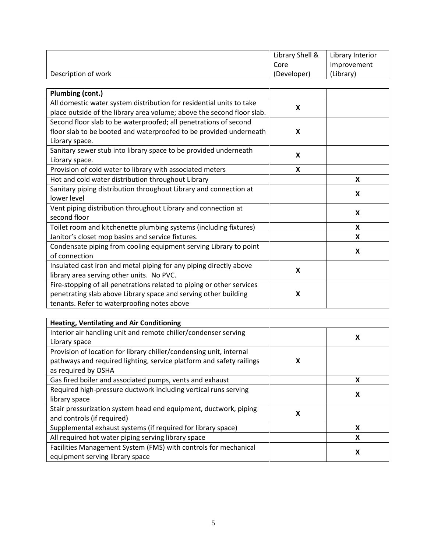|                                                                        | Library Shell &           | Library Interior |
|------------------------------------------------------------------------|---------------------------|------------------|
|                                                                        | Core                      | Improvement      |
| Description of work                                                    | (Developer)               | (Library)        |
|                                                                        |                           |                  |
| Plumbing (cont.)                                                       |                           |                  |
| All domestic water system distribution for residential units to take   | X                         |                  |
| place outside of the library area volume; above the second floor slab. |                           |                  |
| Second floor slab to be waterproofed; all penetrations of second       |                           |                  |
| floor slab to be booted and waterproofed to be provided underneath     | X                         |                  |
| Library space.                                                         |                           |                  |
| Sanitary sewer stub into library space to be provided underneath       | $\boldsymbol{\mathsf{x}}$ |                  |
| Library space.                                                         |                           |                  |
| Provision of cold water to library with associated meters              | X                         |                  |
| Hot and cold water distribution throughout Library                     |                           | X                |
| Sanitary piping distribution throughout Library and connection at      |                           | X                |
| lower level                                                            |                           |                  |
| Vent piping distribution throughout Library and connection at          |                           | X                |
| second floor                                                           |                           |                  |
| Toilet room and kitchenette plumbing systems (including fixtures)      |                           | X                |
| Janitor's closet mop basins and service fixtures.                      |                           | X                |
| Condensate piping from cooling equipment serving Library to point      |                           | X                |
| of connection                                                          |                           |                  |
| Insulated cast iron and metal piping for any piping directly above     | X                         |                  |
| library area serving other units. No PVC.                              |                           |                  |
| Fire-stopping of all penetrations related to piping or other services  |                           |                  |
| penetrating slab above Library space and serving other building        | X                         |                  |
| tenants. Refer to waterproofing notes above                            |                           |                  |

| <b>Heating, Ventilating and Air Conditioning</b>                     |   |   |
|----------------------------------------------------------------------|---|---|
| Interior air handling unit and remote chiller/condenser serving      |   | X |
| Library space                                                        |   |   |
| Provision of location for library chiller/condensing unit, internal  |   |   |
| pathways and required lighting, service platform and safety railings | x |   |
| as required by OSHA                                                  |   |   |
| Gas fired boiler and associated pumps, vents and exhaust             |   | x |
| Required high-pressure ductwork including vertical runs serving      |   | X |
| library space                                                        |   |   |
| Stair pressurization system head end equipment, ductwork, piping     | х |   |
| and controls (if required)                                           |   |   |
| Supplemental exhaust systems (if required for library space)         |   | x |
| All required hot water piping serving library space                  |   | x |
| Facilities Management System (FMS) with controls for mechanical      |   |   |
| equipment serving library space                                      |   | x |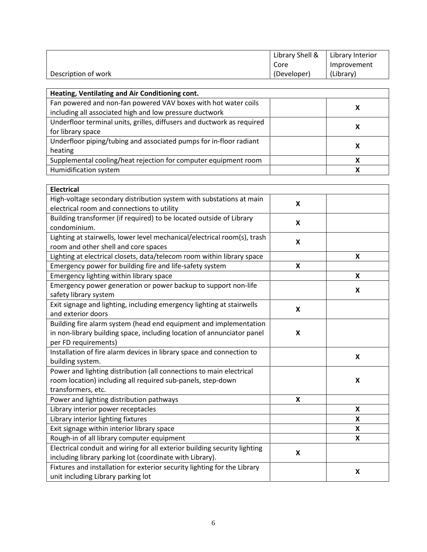|                                                                           | Library Shell &           | Library Interior |
|---------------------------------------------------------------------------|---------------------------|------------------|
|                                                                           | Core                      | Improvement      |
| Description of work                                                       | (Developer)               | (Library)        |
|                                                                           |                           |                  |
| Heating, Ventilating and Air Conditioning cont.                           |                           |                  |
| Fan powered and non-fan powered VAV boxes with hot water coils            |                           | X                |
| including all associated high and low pressure ductwork                   |                           |                  |
| Underfloor terminal units, grilles, diffusers and ductwork as required    |                           | X                |
| for library space                                                         |                           |                  |
| Underfloor piping/tubing and associated pumps for in-floor radiant        |                           | X                |
| heating                                                                   |                           |                  |
| Supplemental cooling/heat rejection for computer equipment room           |                           | X                |
| Humidification system                                                     |                           | X                |
|                                                                           |                           |                  |
| <b>Electrical</b>                                                         |                           |                  |
| High-voltage secondary distribution system with substations at main       | $\boldsymbol{\mathsf{x}}$ |                  |
| electrical room and connections to utility                                |                           |                  |
| Building transformer (if required) to be located outside of Library       | $\pmb{\mathsf{X}}$        |                  |
| condominium.                                                              |                           |                  |
| Lighting at stairwells, lower level mechanical/electrical room(s), trash  | $\pmb{\mathsf{X}}$        |                  |
| room and other shell and core spaces                                      |                           |                  |
| Lighting at electrical closets, data/telecom room within library space    |                           | X                |
| Emergency power for building fire and life-safety system                  | $\pmb{\mathsf{X}}$        |                  |
| Emergency lighting within library space                                   |                           | X                |
| Emergency power generation or power backup to support non-life            |                           | X                |
| safety library system                                                     |                           |                  |
| Exit signage and lighting, including emergency lighting at stairwells     | $\boldsymbol{\mathsf{x}}$ |                  |
| and exterior doors                                                        |                           |                  |
| Building fire alarm system (head end equipment and implementation         |                           |                  |
| in non-library building space, including location of annunciator panel    | X                         |                  |
| per FD requirements)                                                      |                           |                  |
| Installation of fire alarm devices in library space and connection to     |                           | X                |
| building system.                                                          |                           |                  |
| Power and lighting distribution (all connections to main electrical       |                           |                  |
| room location) including all required sub-panels, step-down               |                           | X                |
| transformers, etc.                                                        |                           |                  |
| Power and lighting distribution pathways                                  | X                         |                  |
| Library interior power receptacles                                        |                           | X                |
| Library interior lighting fixtures                                        |                           | X                |
| Exit signage within interior library space                                |                           | X                |
| Rough-in of all library computer equipment                                |                           | X                |
| Electrical conduit and wiring for all exterior building security lighting | $\pmb{\mathsf{X}}$        |                  |
| including library parking lot (coordinate with Library).                  |                           |                  |
| Fixtures and installation for exterior security lighting for the Library  |                           | X                |
| unit including Library parking lot                                        |                           |                  |